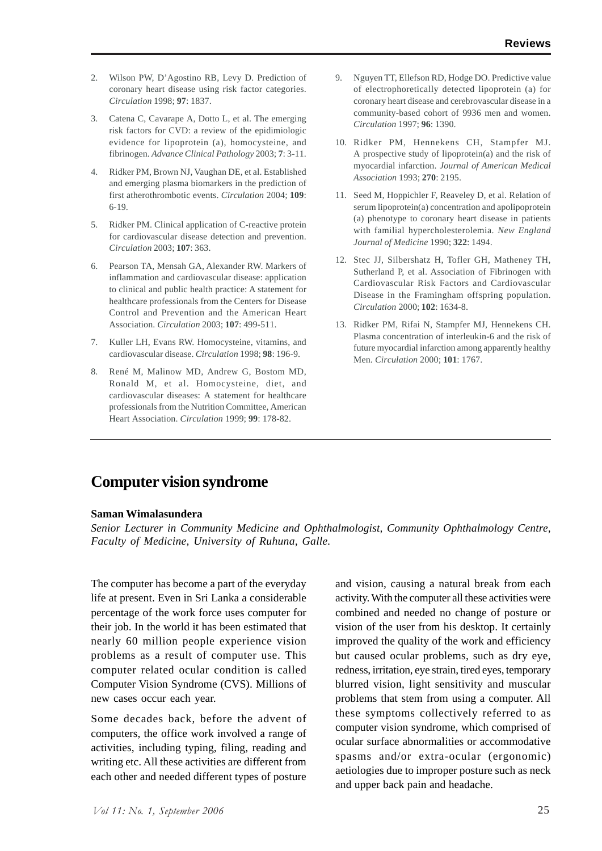# **Computer vision syndrome**

#### **Saman Wimalasundera**

*Senior Lecturer in Community Medicine and Ophthalmologist, Community Ophthalmology Centre, Faculty of Medicine, University of Ruhuna, Galle.*

The computer has become a part of the everyday life at present. Even in Sri Lanka a considerable percentage of the work force uses computer for their job. In the world it has been estimated that nearly 60 million people experience vision problems as a result of computer use. This computer related ocular condition is called Computer Vision Syndrome (CVS). Millions of new cases occur each year.

Some decades back, before the advent of computers, the office work involved a range of activities, including typing, filing, reading and writing etc. All these activities are different from each other and needed different types of posture

and vision, causing a natural break from each activity. With the computer all these activities were combined and needed no change of posture or vision of the user from his desktop. It certainly improved the quality of the work and efficiency but caused ocular problems, such as dry eye, redness, irritation, eye strain, tired eyes, temporary blurred vision, light sensitivity and muscular problems that stem from using a computer. All these symptoms collectively referred to as computer vision syndrome, which comprised of ocular surface abnormalities or accommodative spasms and/or extra-ocular (ergonomic) aetiologies due to improper posture such as neck and upper back pain and headache.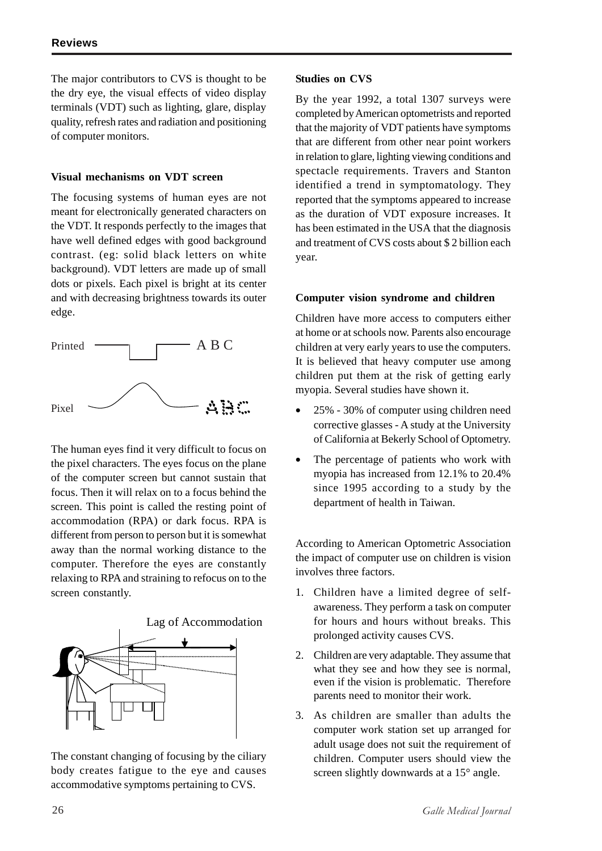The major contributors to CVS is thought to be the dry eye, the visual effects of video display terminals (VDT) such as lighting, glare, display quality, refresh rates and radiation and positioning of computer monitors.

#### **Visual mechanisms on VDT screen**

The focusing systems of human eyes are not meant for electronically generated characters on the VDT. It responds perfectly to the images that have well defined edges with good background contrast. (eg: solid black letters on white background). VDT letters are made up of small dots or pixels. Each pixel is bright at its center and with decreasing brightness towards its outer edge.



The human eyes find it very difficult to focus on the pixel characters. The eyes focus on the plane of the computer screen but cannot sustain that focus. Then it will relax on to a focus behind the screen. This point is called the resting point of accommodation (RPA) or dark focus. RPA is different from person to person but it is somewhat away than the normal working distance to the computer. Therefore the eyes are constantly relaxing to RPA and straining to refocus on to the screen constantly.



The constant changing of focusing by the ciliary body creates fatigue to the eye and causes accommodative symptoms pertaining to CVS.

#### **Studies on CVS**

By the year 1992, a total 1307 surveys were completed by American optometrists and reported that the majority of VDT patients have symptoms that are different from other near point workers in relation to glare, lighting viewing conditions and spectacle requirements. Travers and Stanton identified a trend in symptomatology. They reported that the symptoms appeared to increase as the duration of VDT exposure increases. It has been estimated in the USA that the diagnosis and treatment of CVS costs about \$ 2 billion each year.

#### **Computer vision syndrome and children**

Children have more access to computers either at home or at schools now. Parents also encourage children at very early years to use the computers. It is believed that heavy computer use among children put them at the risk of getting early myopia. Several studies have shown it.

- 25% 30% of computer using children need corrective glasses - A study at the University of California at Bekerly School of Optometry.
- The percentage of patients who work with myopia has increased from 12.1% to 20.4% since 1995 according to a study by the department of health in Taiwan.

According to American Optometric Association the impact of computer use on children is vision involves three factors.

- 1. Children have a limited degree of selfawareness. They perform a task on computer for hours and hours without breaks. This prolonged activity causes CVS.
- 2. Children are very adaptable. They assume that what they see and how they see is normal, even if the vision is problematic. Therefore parents need to monitor their work.
- 3. As children are smaller than adults the computer work station set up arranged for adult usage does not suit the requirement of children. Computer users should view the screen slightly downwards at a 15° angle.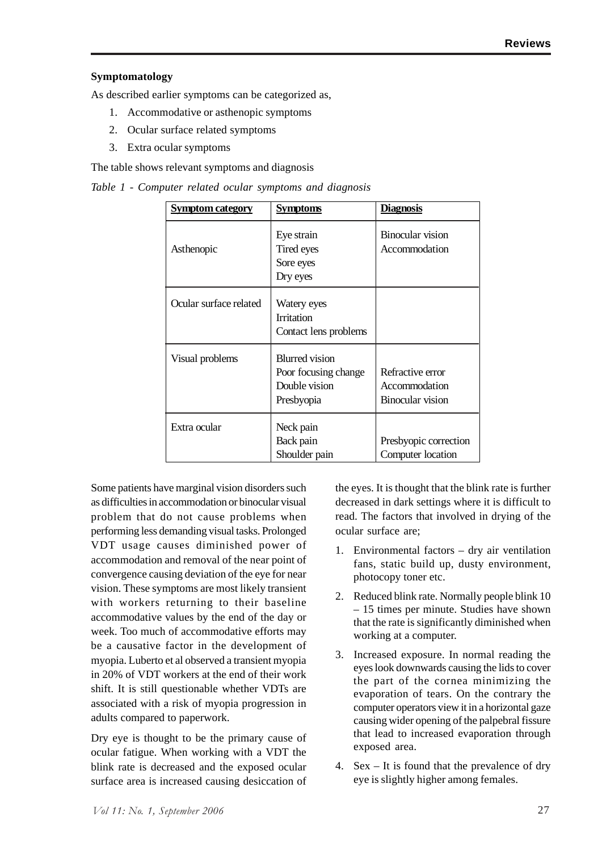### **Symptomatology**

As described earlier symptoms can be categorized as,

- 1. Accommodative or asthenopic symptoms
- 2. Ocular surface related symptoms
- 3. Extra ocular symptoms

The table shows relevant symptoms and diagnosis

*Table 1 - Computer related ocular symptoms and diagnosis*

| Symptom category       | <b>Symptoms</b>                                                              | <b>Diagnosis</b>                                      |
|------------------------|------------------------------------------------------------------------------|-------------------------------------------------------|
| Asthenopic             | Eye strain<br>Tired eyes<br>Sore eyes<br>Dry eyes                            | Binocular vision<br>Accommodation                     |
| Ocular surface related | Watery eyes<br><b>Irritation</b><br>Contact lens problems                    |                                                       |
| Visual problems        | <b>Blurred</b> vision<br>Poor focusing change<br>Double vision<br>Presbyopia | Refractive error<br>Accommodation<br>Binocular vision |
| Extra ocular           | Neck pain<br>Back pain<br>Shoulder pain                                      | Presbyopic correction<br>Computer location            |

Some patients have marginal vision disorders such as difficulties in accommodation or binocular visual problem that do not cause problems when performing less demanding visual tasks. Prolonged VDT usage causes diminished power of accommodation and removal of the near point of convergence causing deviation of the eye for near vision. These symptoms are most likely transient with workers returning to their baseline accommodative values by the end of the day or week. Too much of accommodative efforts may be a causative factor in the development of myopia. Luberto et al observed a transient myopia in 20% of VDT workers at the end of their work shift. It is still questionable whether VDTs are associated with a risk of myopia progression in adults compared to paperwork.

Dry eye is thought to be the primary cause of ocular fatigue. When working with a VDT the blink rate is decreased and the exposed ocular surface area is increased causing desiccation of the eyes. It is thought that the blink rate is further decreased in dark settings where it is difficult to read. The factors that involved in drying of the ocular surface are;

- 1. Environmental factors dry air ventilation fans, static build up, dusty environment, photocopy toner etc.
- 2. Reduced blink rate. Normally people blink 10 – 15 times per minute. Studies have shown that the rate is significantly diminished when working at a computer.
- 3. Increased exposure. In normal reading the eyes look downwards causing the lids to cover the part of the cornea minimizing the evaporation of tears. On the contrary the computer operators view it in a horizontal gaze causing wider opening of the palpebral fissure that lead to increased evaporation through exposed area.
- 4. Sex It is found that the prevalence of dry eye is slightly higher among females.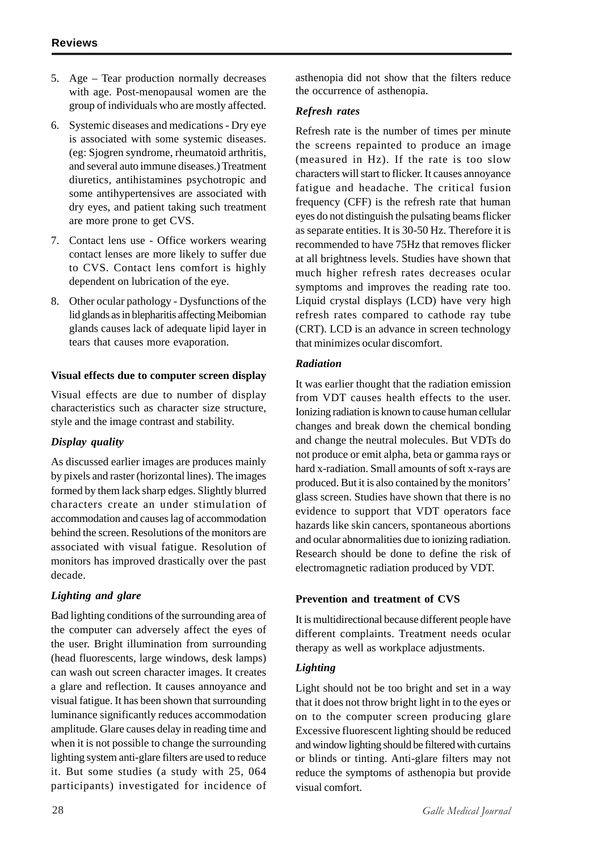- 5. Age Tear production normally decreases with age. Post-menopausal women are the group of individuals who are mostly affected.
- 6. Systemic diseases and medications Dry eye is associated with some systemic diseases. (eg: Sjogren syndrome, rheumatoid arthritis, and several auto immune diseases.) Treatment diuretics, antihistamines psychotropic and some antihypertensives are associated with dry eyes, and patient taking such treatment are more prone to get CVS.
- 7. Contact lens use Office workers wearing contact lenses are more likely to suffer due to CVS. Contact lens comfort is highly dependent on lubrication of the eye.
- 8. Other ocular pathology Dysfunctions of the lid glands as in blepharitis affecting Meibomian glands causes lack of adequate lipid layer in tears that causes more evaporation.

#### **Visual effects due to computer screen display**

Visual effects are due to number of display characteristics such as character size structure, style and the image contrast and stability.

### *Display quality*

As discussed earlier images are produces mainly by pixels and raster (horizontal lines). The images formed by them lack sharp edges. Slightly blurred characters create an under stimulation of accommodation and causes lag of accommodation behind the screen. Resolutions of the monitors are associated with visual fatigue. Resolution of monitors has improved drastically over the past decade.

## *Lighting and glare*

Bad lighting conditions of the surrounding area of the computer can adversely affect the eyes of the user. Bright illumination from surrounding (head fluorescents, large windows, desk lamps) can wash out screen character images. It creates a glare and reflection. It causes annoyance and visual fatigue. It has been shown that surrounding luminance significantly reduces accommodation amplitude. Glare causes delay in reading time and when it is not possible to change the surrounding lighting system anti-glare filters are used to reduce it. But some studies (a study with 25, 064 participants) investigated for incidence of asthenopia did not show that the filters reduce the occurrence of asthenopia.

#### *Refresh rates*

Refresh rate is the number of times per minute the screens repainted to produce an image (measured in Hz). If the rate is too slow characters will start to flicker. It causes annoyance fatigue and headache. The critical fusion frequency (CFF) is the refresh rate that human eyes do not distinguish the pulsating beams flicker as separate entities. It is 30-50 Hz. Therefore it is recommended to have 75Hz that removes flicker at all brightness levels. Studies have shown that much higher refresh rates decreases ocular symptoms and improves the reading rate too. Liquid crystal displays (LCD) have very high refresh rates compared to cathode ray tube (CRT). LCD is an advance in screen technology that minimizes ocular discomfort.

#### *Radiation*

It was earlier thought that the radiation emission from VDT causes health effects to the user. Ionizing radiation is known to cause human cellular changes and break down the chemical bonding and change the neutral molecules. But VDTs do not produce or emit alpha, beta or gamma rays or hard x-radiation. Small amounts of soft x-rays are produced. But it is also contained by the monitors' glass screen. Studies have shown that there is no evidence to support that VDT operators face hazards like skin cancers, spontaneous abortions and ocular abnormalities due to ionizing radiation. Research should be done to define the risk of electromagnetic radiation produced by VDT.

### **Prevention and treatment of CVS**

It is multidirectional because different people have different complaints. Treatment needs ocular therapy as well as workplace adjustments.

## *Lighting*

Light should not be too bright and set in a way that it does not throw bright light in to the eyes or on to the computer screen producing glare Excessive fluorescent lighting should be reduced and window lighting should be filtered with curtains or blinds or tinting. Anti-glare filters may not reduce the symptoms of asthenopia but provide visual comfort.